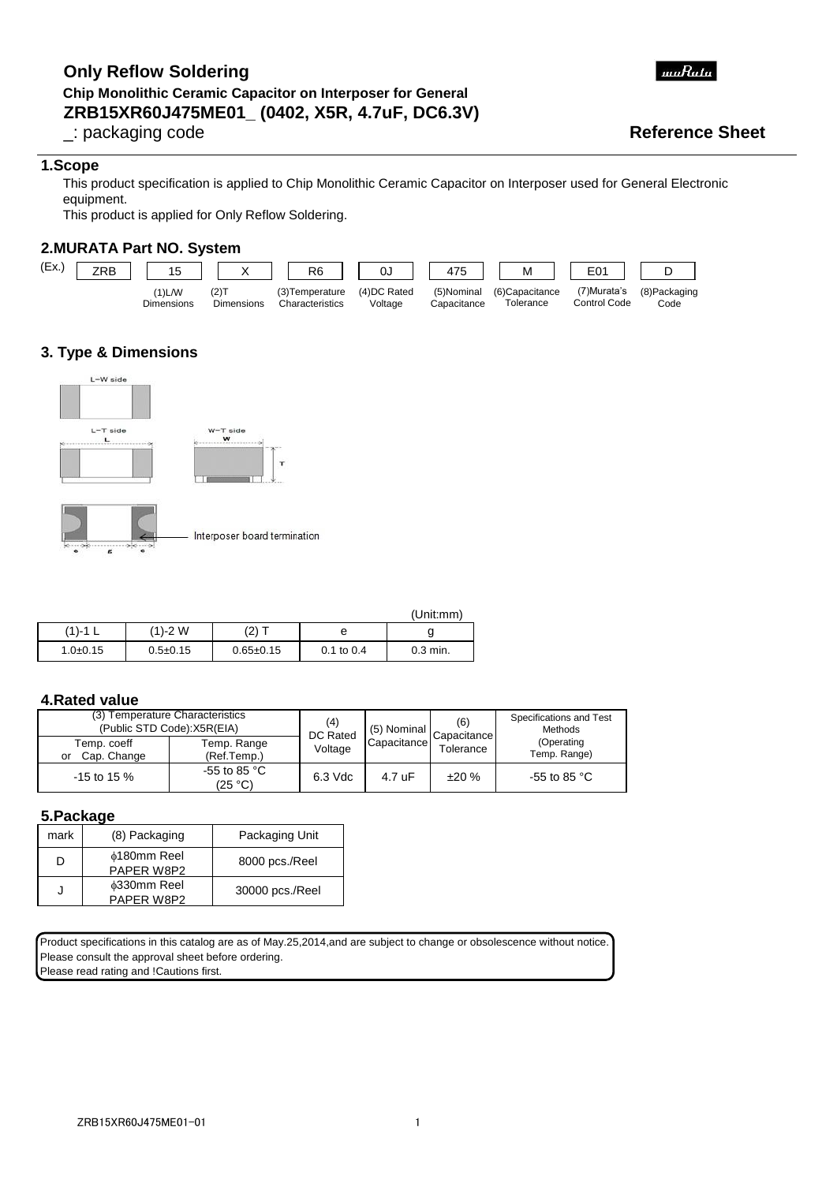# **ZRB15XR60J475ME01\_ (0402, X5R, 4.7uF, DC6.3V) Only Reflow Soldering Chip Monolithic Ceramic Capacitor on Interposer for General**

### **1.Scope**

This product specification is applied to Chip Monolithic Ceramic Capacitor on Interposer used for General Electronic equipment.

This product is applied for Only Reflow Soldering.

### **2.MURATA Part NO. System**



# **3. Type & Dimensions**



(Unit:mm) 0.3 min. (1)-1 L 1.0±0.15 (1)-2 W 0.5±0.15 e  $(2) T$ 0.65±0.15 g 0.1 to 0.4

### **4.Rated value**

| (3) Temperature Characteristics<br>(Public STD Code): X5R(EIA) |                                   | (4)<br>DC Rated | (5) Nominal | (6)<br>Capacitance | Specifications and Test<br>Methods |
|----------------------------------------------------------------|-----------------------------------|-----------------|-------------|--------------------|------------------------------------|
| Temp. coeff<br>Cap. Change<br>or                               | Temp. Range<br>(Ref.Temp.)        | Voltage         | Capacitance | Tolerance          | (Operating<br>Temp. Range)         |
| $-15$ to 15 %                                                  | -55 to 85 $^{\circ}$ C<br>(25 °C) | 6.3 Vdc         | 4.7 uF      | ±20%               | -55 to 85 $^{\circ}$ C             |

#### **5.Package**

| mark | (8) Packaging                    | Packaging Unit  |
|------|----------------------------------|-----------------|
|      | <b>¢180mm Reel</b><br>PAPER W8P2 | 8000 pcs./Reel  |
|      | <b>¢330mm Reel</b><br>PAPER W8P2 | 30000 pcs./Reel |

Product specifications in this catalog are as of May.25,2014,and are subject to change or obsolescence without notice. Please consult the approval sheet before ordering. Please read rating and !Cautions first.



# \_: packaging code **Reference Sheet**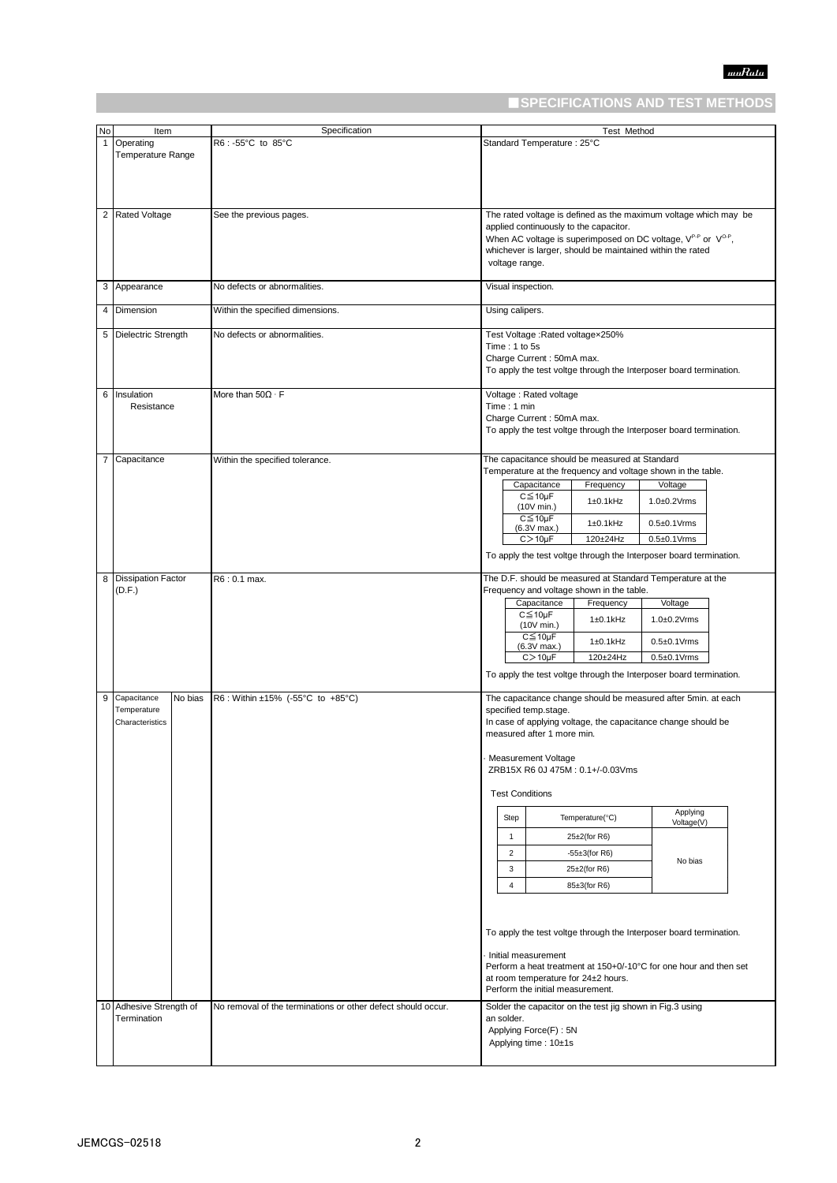# ■**SPECIFICATIONS AND TEST METHODS**

| <b>No</b>      | Item                                                     | Specification                                                | Test Method                                                                                                                                                                                                                                                                                                                                                                                                                          |
|----------------|----------------------------------------------------------|--------------------------------------------------------------|--------------------------------------------------------------------------------------------------------------------------------------------------------------------------------------------------------------------------------------------------------------------------------------------------------------------------------------------------------------------------------------------------------------------------------------|
| 1              | Operating<br><b>Temperature Range</b>                    | R6:-55°C to 85°C                                             | Standard Temperature: 25°C                                                                                                                                                                                                                                                                                                                                                                                                           |
|                |                                                          |                                                              |                                                                                                                                                                                                                                                                                                                                                                                                                                      |
| 2              | <b>Rated Voltage</b>                                     | See the previous pages.                                      | The rated voltage is defined as the maximum voltage which may be<br>applied continuously to the capacitor.<br>When AC voltage is superimposed on DC voltage, $V^{P-P}$ or $V^{O-P}$ ,<br>whichever is larger, should be maintained within the rated<br>voltage range.                                                                                                                                                                |
|                | 3 Appearance                                             | No defects or abnormalities.                                 | Visual inspection.                                                                                                                                                                                                                                                                                                                                                                                                                   |
|                | 4 Dimension                                              | Within the specified dimensions.                             | Using calipers.                                                                                                                                                                                                                                                                                                                                                                                                                      |
|                | 5 Dielectric Strength                                    | No defects or abnormalities.                                 | Test Voltage : Rated voltagex250%<br>Time: 1 to 5s<br>Charge Current: 50mA max.<br>To apply the test voltge through the Interposer board termination.                                                                                                                                                                                                                                                                                |
| 6              | Insulation<br>Resistance                                 | More than $50\Omega \cdot F$                                 | Voltage: Rated voltage<br>Time: 1 min<br>Charge Current: 50mA max.<br>To apply the test voltge through the Interposer board termination.                                                                                                                                                                                                                                                                                             |
| $\overline{7}$ | Capacitance                                              | Within the specified tolerance.                              | The capacitance should be measured at Standard<br>Temperature at the frequency and voltage shown in the table.<br>Capacitance<br>Frequency<br>Voltage<br>$C \leq 10 \mu F$<br>$1\pm0.1$ kHz<br>$1.0\pm0.2$ Vrms<br>(10V min.)<br>$C \leq 10 \mu F$<br>$0.5 \pm 0.1$ Vrms<br>$1\pm0.1$ kHz<br>$(6.3V$ max.)<br>$C > 10 \mu F$<br>120±24Hz<br>$0.5 \pm 0.1$ Vrms<br>To apply the test voltge through the Interposer board termination. |
| 8              | <b>Dissipation Factor</b><br>(D.F.)                      | R6:0.1 max.                                                  | The D.F. should be measured at Standard Temperature at the<br>Frequency and voltage shown in the table.<br>Capacitance<br>Frequency<br>Voltage<br>$C \leq 10 \mu F$<br>$1\pm0.1$ kHz<br>$1.0\pm0.2$ Vrms<br>(10V min.)<br>$C \leq 10 \mu F$<br>$1\pm0.1$ kHz<br>$0.5\pm0.1$ Vrms<br>$(6.3V$ max.)<br>$C > 10 \mu F$<br>120±24Hz<br>$0.5\pm0.1$ Vrms<br>To apply the test voltge through the Interposer board termination.            |
| 9              | Capacitance<br>No bias<br>Temperature<br>Characteristics | R6: Within ±15% (-55°C to +85°C)                             | The capacitance change should be measured after 5min. at each<br>specified temp.stage.<br>In case of applying voltage, the capacitance change should be<br>measured after 1 more min.<br>Measurement Voltage<br>ZRB15X R6 0J 475M: 0.1+/-0.03Vms<br><b>Test Conditions</b>                                                                                                                                                           |
|                |                                                          |                                                              | Applying<br>Temperature(°C)<br>Step<br>Voltage(V)                                                                                                                                                                                                                                                                                                                                                                                    |
|                |                                                          |                                                              | $\mathbf{1}$<br>$25\pm2$ (for R6)<br>$\overline{2}$<br>$-55\pm3$ (for R6)<br>No bias<br>3<br>$25\pm2$ (for R6)                                                                                                                                                                                                                                                                                                                       |
|                |                                                          |                                                              | $\overline{4}$<br>85±3(for R6)                                                                                                                                                                                                                                                                                                                                                                                                       |
|                |                                                          |                                                              | To apply the test voltge through the Interposer board termination.<br>Initial measurement<br>Perform a heat treatment at 150+0/-10°C for one hour and then set<br>at room temperature for 24±2 hours.<br>Perform the initial measurement.                                                                                                                                                                                            |
|                | 10 Adhesive Strength of<br>Termination                   | No removal of the terminations or other defect should occur. | Solder the capacitor on the test jig shown in Fig.3 using<br>an solder.<br>Applying Force(F): 5N<br>Applying time: 10±1s                                                                                                                                                                                                                                                                                                             |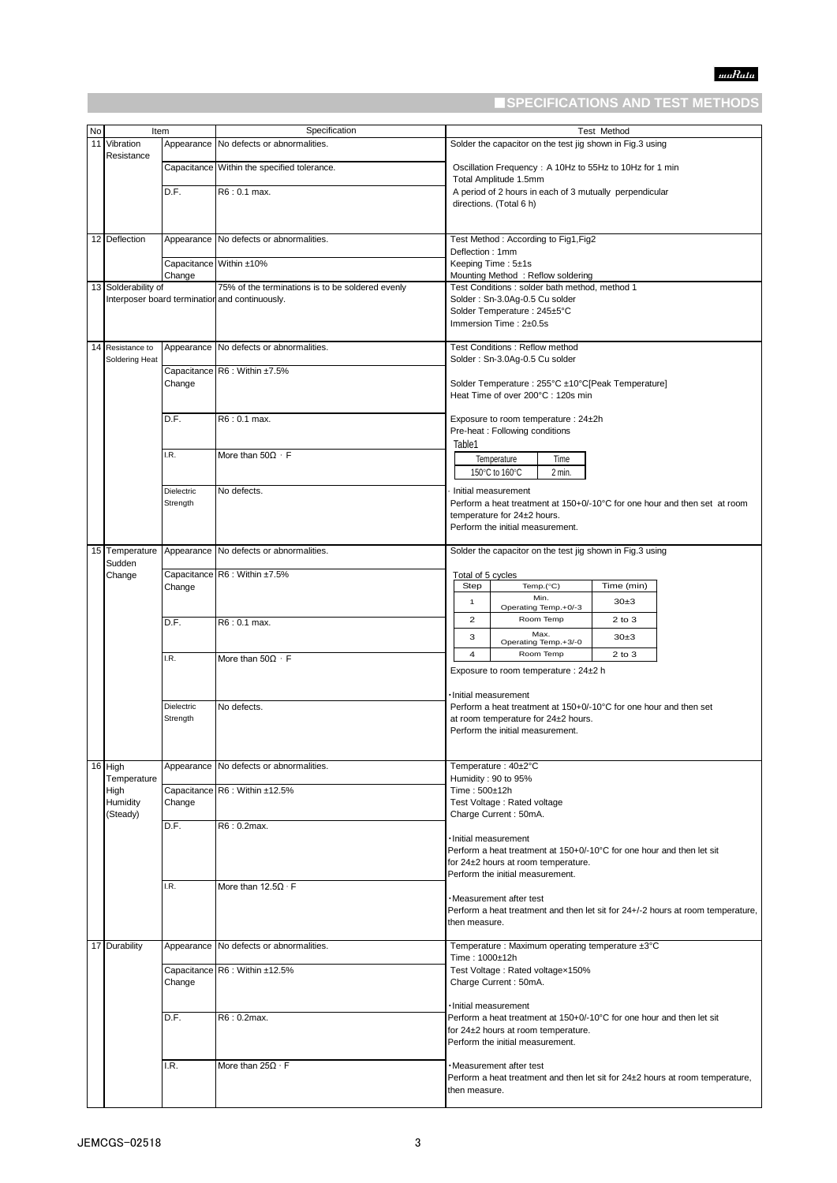# ■**SPECIFICATIONS AND TEST METHODS**

| No | Item                     |            | Specification                                    | <b>Test Method</b>                                                                           |
|----|--------------------------|------------|--------------------------------------------------|----------------------------------------------------------------------------------------------|
| 11 | Vibration                |            | Appearance No defects or abnormalities.          | Solder the capacitor on the test jig shown in Fig.3 using                                    |
|    | Resistance               |            |                                                  |                                                                                              |
|    |                          |            | Capacitance Within the specified tolerance.      | Oscillation Frequency: A 10Hz to 55Hz to 10Hz for 1 min<br>Total Amplitude 1.5mm             |
|    |                          | D.F.       | R6: 0.1 max.                                     | A period of 2 hours in each of 3 mutually perpendicular                                      |
|    |                          |            |                                                  | directions. (Total 6 h)                                                                      |
|    |                          |            |                                                  |                                                                                              |
|    | 12 Deflection            | Appearance | No defects or abnormalities.                     | Test Method: According to Fig1, Fig2                                                         |
|    |                          |            |                                                  | Deflection: 1mm                                                                              |
|    |                          |            | Capacitance Within ±10%                          | Keeping Time: 5±1s                                                                           |
|    | 13 Solderability of      | Change     | 75% of the terminations is to be soldered evenly | Mounting Method: Reflow soldering<br>Test Conditions : solder bath method, method 1          |
|    |                          |            | Interposer board termination and continuously.   | Solder: Sn-3.0Ag-0.5 Cu solder                                                               |
|    |                          |            |                                                  | Solder Temperature: 245±5°C                                                                  |
|    |                          |            |                                                  | Immersion Time: $2\pm0.5s$                                                                   |
|    | 14 Resistance to         |            | Appearance No defects or abnormalities.          | Test Conditions: Reflow method                                                               |
|    | Soldering Heat           |            |                                                  | Solder: Sn-3.0Ag-0.5 Cu solder                                                               |
|    |                          | Change     | Capacitance R6 : Within ±7.5%                    | Solder Temperature : 255°C ±10°C[Peak Temperature]                                           |
|    |                          |            |                                                  | Heat Time of over 200°C : 120s min                                                           |
|    |                          | D.F.       |                                                  |                                                                                              |
|    |                          |            | R6: 0.1 max.                                     | Exposure to room temperature : 24±2h<br>Pre-heat : Following conditions                      |
|    |                          |            |                                                  | Table1                                                                                       |
|    |                          | I.R.       | More than $50\Omega \cdot F$                     | Temperature<br>Time                                                                          |
|    |                          |            |                                                  | 150°C to 160°C<br>2 min.                                                                     |
|    |                          | Dielectric | No defects.                                      | Initial measurement                                                                          |
|    |                          | Strength   |                                                  | Perform a heat treatment at 150+0/-10°C for one hour and then set at room                    |
|    |                          |            |                                                  | temperature for 24±2 hours.<br>Perform the initial measurement.                              |
|    |                          |            |                                                  |                                                                                              |
|    | 15 Temperature<br>Sudden |            | Appearance No defects or abnormalities.          | Solder the capacitor on the test jig shown in Fig.3 using                                    |
|    | Change                   |            | Capacitance R6 : Within ±7.5%                    | Total of 5 cycles                                                                            |
|    |                          | Change     |                                                  | Step<br>Time (min)<br>Temp.(°C)                                                              |
|    |                          |            |                                                  | Min.<br>$\mathbf{1}$<br>30±3<br>Operating Temp.+0/-3                                         |
|    |                          | D.F.       | R6:0.1 max.                                      | $\overline{2}$<br>Room Temp<br>$2$ to $3$                                                    |
|    |                          |            |                                                  | Max.<br>3<br>30±3<br>Operating Temp.+3/-0                                                    |
|    |                          | .R.        | More than $50\Omega \cdot F$                     | $\overline{4}$<br>Room Temp<br>2 to 3                                                        |
|    |                          |            |                                                  | Exposure to room temperature : 24±2 h                                                        |
|    |                          |            |                                                  |                                                                                              |
|    |                          | Dielectric | No defects.                                      | Initial measurement<br>Perform a heat treatment at 150+0/-10°C for one hour and then set     |
|    |                          | Strength   |                                                  | at room temperature for 24±2 hours.                                                          |
|    |                          |            |                                                  | Perform the initial measurement.                                                             |
|    |                          |            |                                                  |                                                                                              |
|    | 16 High                  | Appearance | No defects or abnormalities.                     | Temperature: 40±2°C                                                                          |
|    | Temperature<br>High      |            | Capacitance R6 : Within ±12.5%                   | Humidity: 90 to 95%<br>Time: 500±12h                                                         |
|    | Humidity                 | Change     |                                                  | Test Voltage: Rated voltage                                                                  |
|    | (Steady)                 |            |                                                  | Charge Current: 50mA.                                                                        |
|    |                          | D.F.       | R6:0.2max.                                       | · Initial measurement                                                                        |
|    |                          |            |                                                  | Perform a heat treatment at 150+0/-10°C for one hour and then let sit                        |
|    |                          |            |                                                  | for 24±2 hours at room temperature.                                                          |
|    |                          | I.R.       | More than $12.5\Omega \cdot F$                   | Perform the initial measurement.                                                             |
|    |                          |            |                                                  | ·Measurement after test                                                                      |
|    |                          |            |                                                  | Perform a heat treatment and then let sit for 24+/-2 hours at room temperature,              |
|    |                          |            |                                                  | then measure.                                                                                |
|    | 17 Durability            | Appearance | No defects or abnormalities.                     | Temperature : Maximum operating temperature ±3°C                                             |
|    |                          |            | Capacitance R6 : Within ±12.5%                   | Time: 1000±12h<br>Test Voltage: Rated voltagex150%                                           |
|    |                          | Change     |                                                  | Charge Current: 50mA.                                                                        |
|    |                          |            |                                                  |                                                                                              |
|    |                          | D.F.       | R6: 0.2max.                                      | Initial measurement<br>Perform a heat treatment at 150+0/-10°C for one hour and then let sit |
|    |                          |            |                                                  | for 24±2 hours at room temperature.                                                          |
|    |                          |            |                                                  | Perform the initial measurement.                                                             |
|    |                          | I.R.       | More than $25\Omega \cdot F$                     | ·Measurement after test                                                                      |
|    |                          |            |                                                  | Perform a heat treatment and then let sit for 24±2 hours at room temperature,                |
|    |                          |            |                                                  | then measure.                                                                                |
|    |                          |            |                                                  |                                                                                              |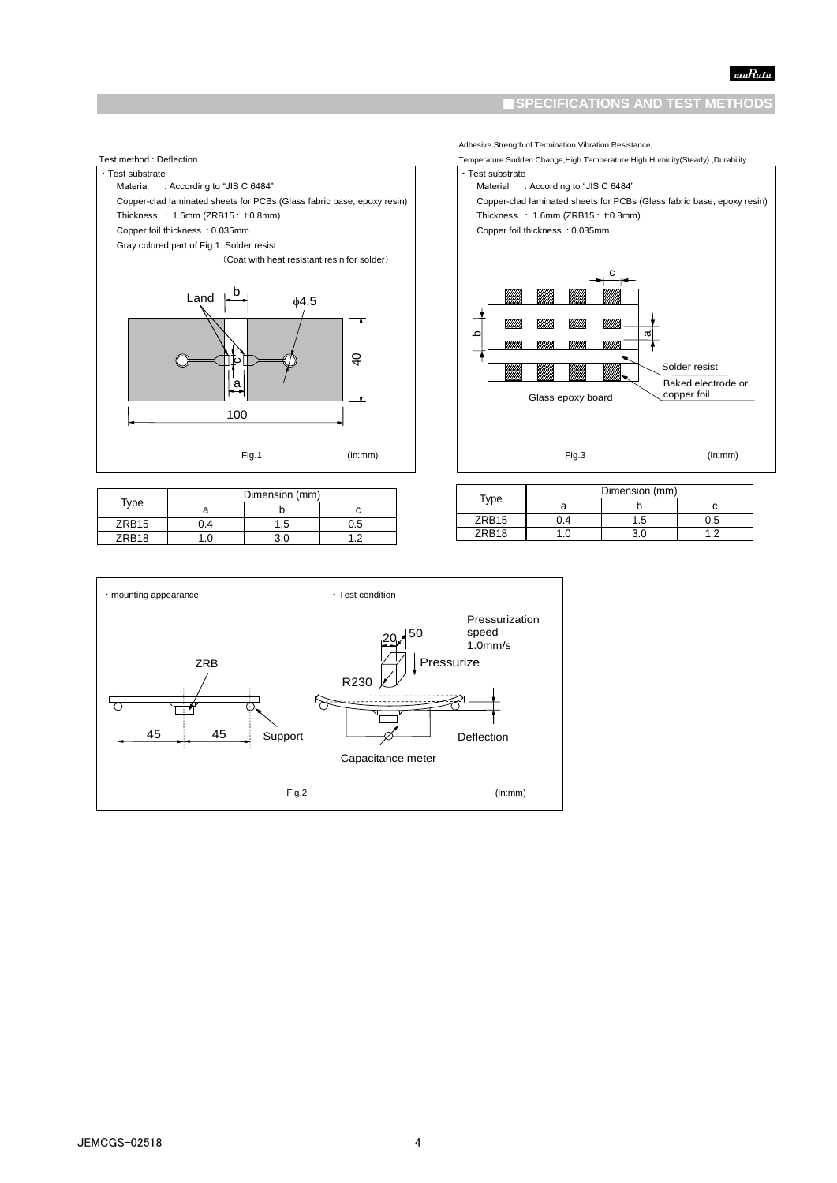### ■**SPECIFICATIONS AND TEST METHODS**



|                   | Dimension (mm) |     |     |  |
|-------------------|----------------|-----|-----|--|
| Type              |                |     |     |  |
| ZRB <sub>15</sub> | Δ              | 5.، | J.5 |  |
| ZRB18             |                |     |     |  |



Adhesive Strength of Termination,Vibration Resistance,

|                   | Dimension (mm) |     |     |
|-------------------|----------------|-----|-----|
| Type              |                |     |     |
| ZRB <sub>15</sub> | .4             | l.5 | J.5 |
| ZRB18             |                | ۹ſ  |     |

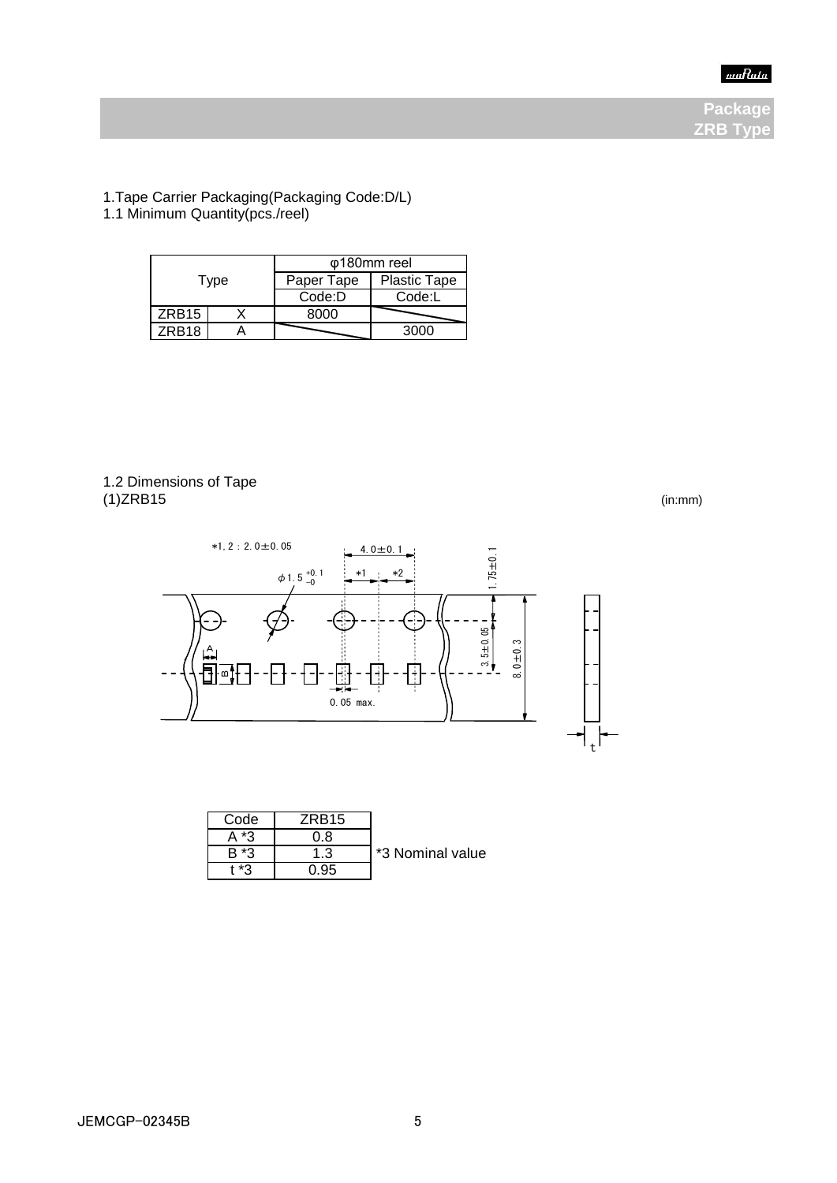

**Package ZRB Type**

1.Tape Carrier Packaging(Packaging Code:D/L) 1.1 Minimum Quantity(pcs./reel)

| Type              |  | φ180mm reel |                     |  |
|-------------------|--|-------------|---------------------|--|
|                   |  | Paper Tape  | <b>Plastic Tape</b> |  |
|                   |  | Code:D      | Code:L              |  |
| ZRB <sub>15</sub> |  | റററ         |                     |  |
| <b>7RB18</b>      |  |             | auuu                |  |

## 1.2 Dimensions of Tape (1)ZRB15 (in:mm)



| Code    | ZRB <sub>15</sub> |                  |
|---------|-------------------|------------------|
| *2      | ) ጸ               |                  |
| ∗ว      | 1.3               | *3 Nominal value |
| $+ + -$ |                   |                  |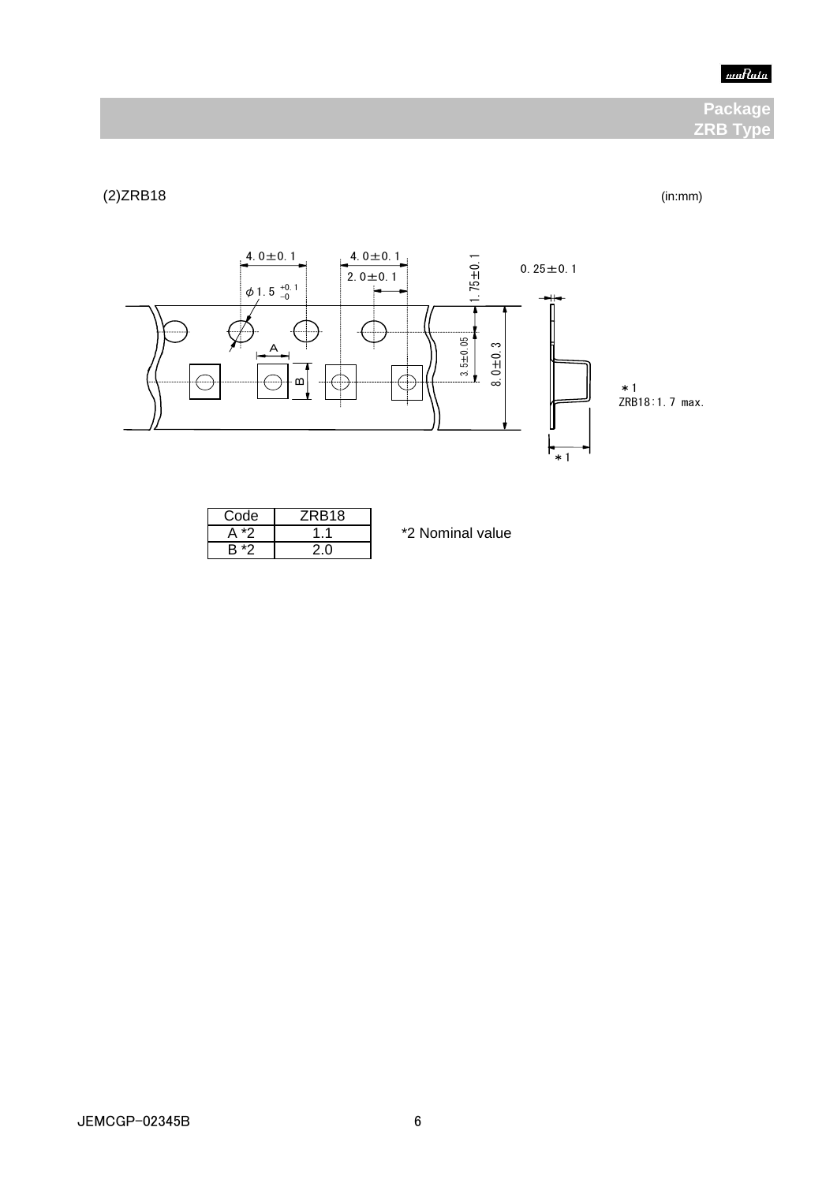### $muRala$

# **Package ZRB Type**

# (2)ZRB18 (in:mm)



| Code | ZRB <sub>18</sub> |
|------|-------------------|
|      |                   |
|      |                   |

\*2 Nominal value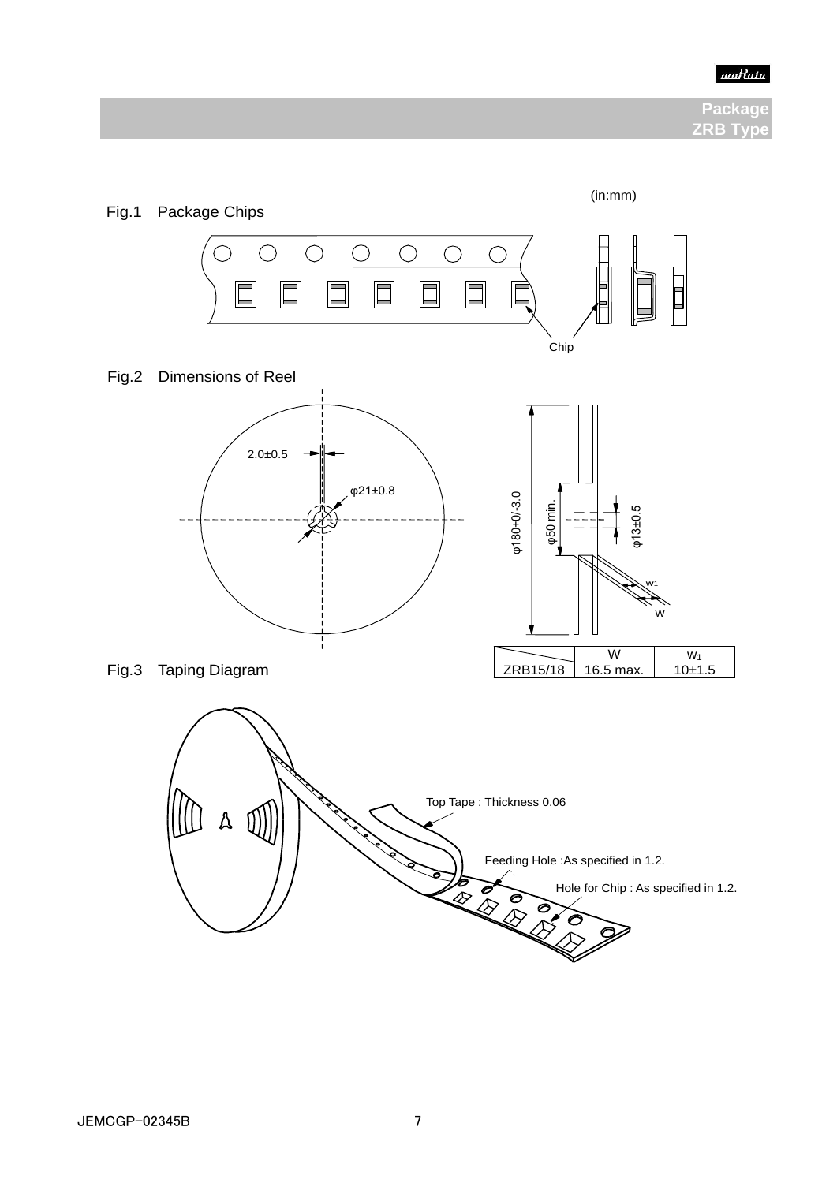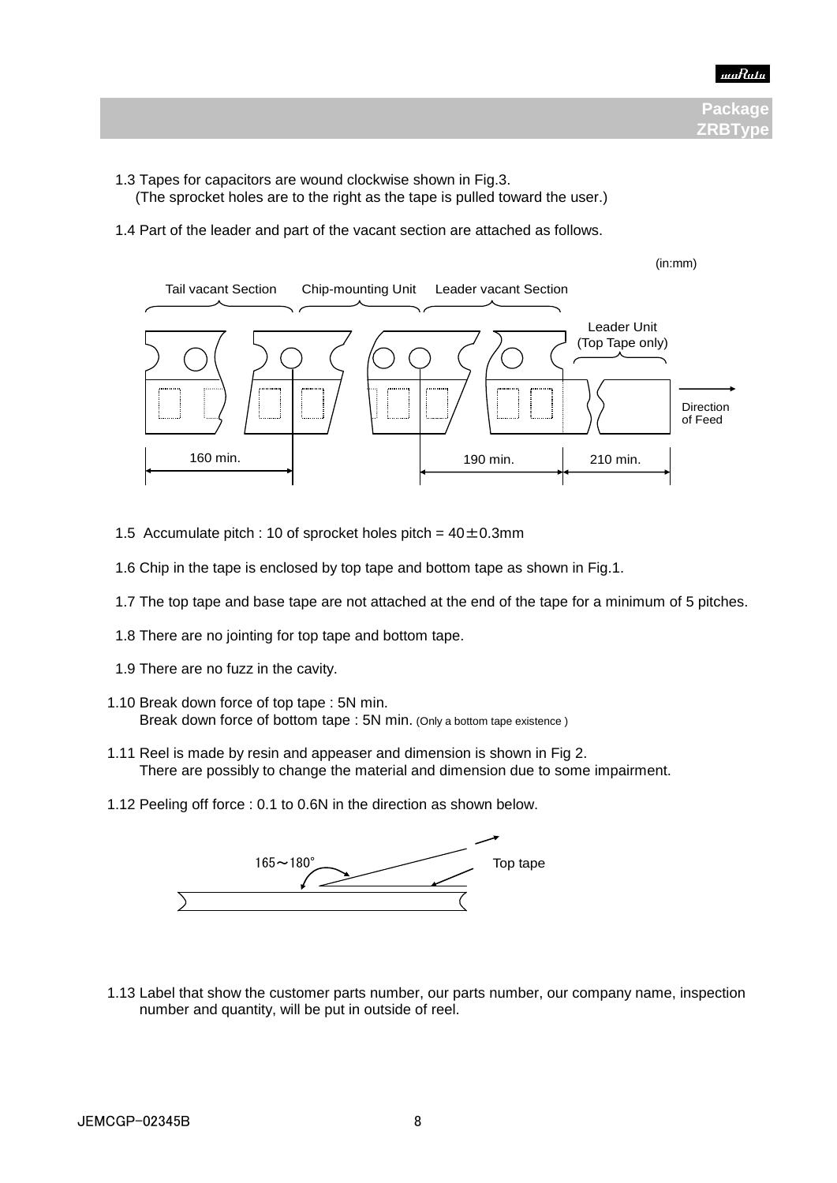

- 1.3 Tapes for capacitors are wound clockwise shown in Fig.3. (The sprocket holes are to the right as the tape is pulled toward the user.)
- 1.4 Part of the leader and part of the vacant section are attached as follows.



- 1.5 Accumulate pitch : 10 of sprocket holes pitch =  $40 \pm 0.3$ mm
- 1.6 Chip in the tape is enclosed by top tape and bottom tape as shown in Fig.1.
- 1.7 The top tape and base tape are not attached at the end of the tape for a minimum of 5 pitches.
- 1.8 There are no jointing for top tape and bottom tape.
- 1.9 There are no fuzz in the cavity.

図1 チップ詰め状態 (単位:mm)

- 1.10 Break down force of top tape : 5N min. Break down force of bottom tape : 5N min. (Only a bottom tape existence)
	- 1.11 Reel is made by resin and appeaser and dimension is shown in Fig 2. There are possibly to change the material and dimension due to some impairment.
	- 1.12 Peeling off force : 0.1 to 0.6N in the direction as shown below.



 1.13 Label that show the customer parts number, our parts number, our company name, inspection number and quantity, will be put in outside of reel.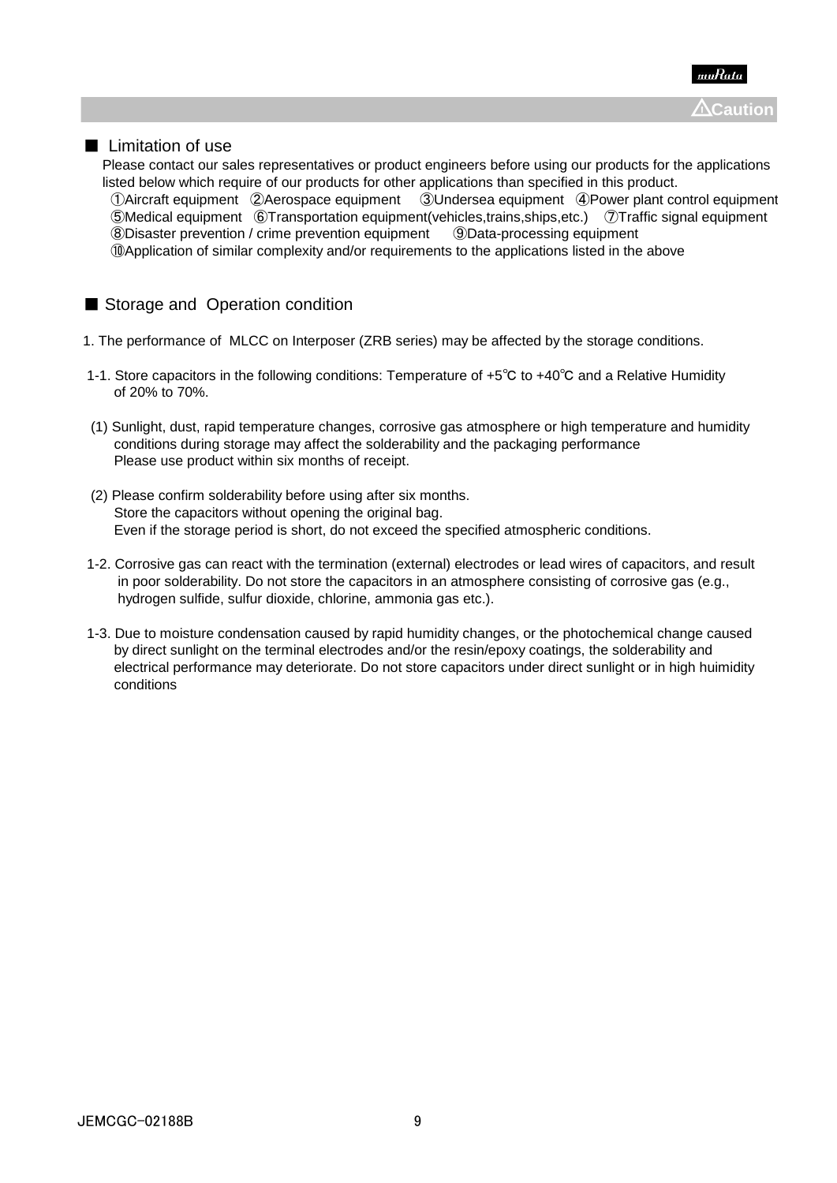

### ■ Limitation of use

 Please contact our sales representatives or product engineers before using our products for the applications listed below which require of our products for other applications than specified in this product. ①Aircraft equipment ②Aerospace equipment ③Undersea equipment ④Power plant control equipment ⑤Medical equipment ⑥Transportation equipment(vehicles,trains,ships,etc.) ⑦Traffic signal equipment ⑧Disaster prevention / crime prevention equipment ⑨Data-processing equipment ⑩Application of similar complexity and/or requirements to the applications listed in the above

# ■ Storage and Operation condition

- 1. The performance of MLCC on Interposer (ZRB series) may be affected by the storage conditions.
- 1-1. Store capacitors in the following conditions: Temperature of +5℃ to +40℃ and a Relative Humidity of 20% to 70%.
- (1) Sunlight, dust, rapid temperature changes, corrosive gas atmosphere or high temperature and humidity conditions during storage may affect the solderability and the packaging performance Please use product within six months of receipt.
- (2) Please confirm solderability before using after six months. Store the capacitors without opening the original bag. Even if the storage period is short, do not exceed the specified atmospheric conditions.
- 1-2. Corrosive gas can react with the termination (external) electrodes or lead wires of capacitors, and result in poor solderability. Do not store the capacitors in an atmosphere consisting of corrosive gas (e.g., hydrogen sulfide, sulfur dioxide, chlorine, ammonia gas etc.).
- 1-3. Due to moisture condensation caused by rapid humidity changes, or the photochemical change caused by direct sunlight on the terminal electrodes and/or the resin/epoxy coatings, the solderability and electrical performance may deteriorate. Do not store capacitors under direct sunlight or in high huimidity conditions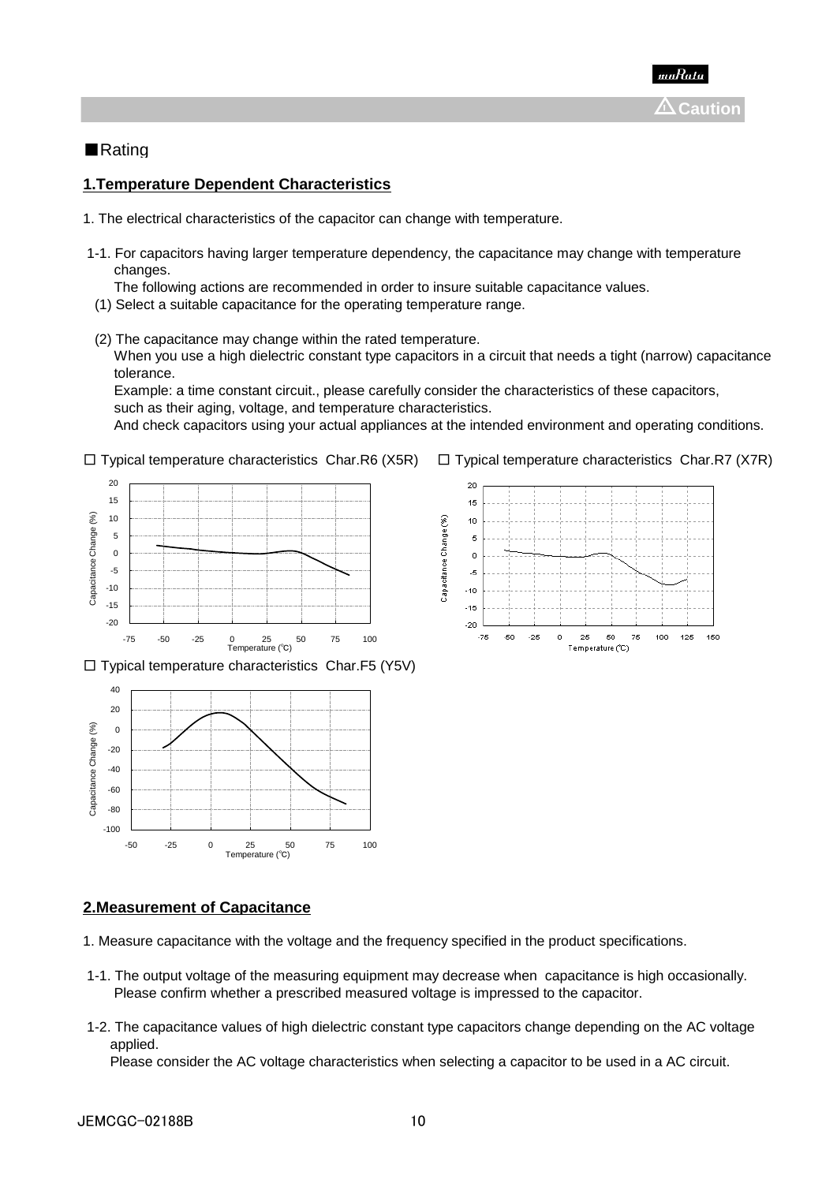

### ■Rating

### **1.Temperature Dependent Characteristics**

- 1. The electrical characteristics of the capacitor can change with temperature.
- 1-1. For capacitors having larger temperature dependency, the capacitance may change with temperature changes.
	- The following actions are recommended in order to insure suitable capacitance values.
- (1) Select a suitable capacitance for the operating temperature range.
- (2) The capacitance may change within the rated temperature.

 When you use a high dielectric constant type capacitors in a circuit that needs a tight (narrow) capacitance tolerance.

 Example: a time constant circuit., please carefully consider the characteristics of these capacitors, such as their aging, voltage, and temperature characteristics.

And check capacitors using your actual appliances at the intended environment and operating conditions.

 $\square$  Typical temperature characteristics Char.R6 (X5R)  $\square$  Typical temperature characteristics Char.R7 (X7R)



 $\square$  Typical temperature characteristics Char. F5 (Y5V)







#### **2.Measurement of Capacitance**

- 1. Measure capacitance with the voltage and the frequency specified in the product specifications.
- 1-1. The output voltage of the measuring equipment may decrease when capacitance is high occasionally. Please confirm whether a prescribed measured voltage is impressed to the capacitor.
- 1-2. The capacitance values of high dielectric constant type capacitors change depending on the AC voltage applied.

Please consider the AC voltage characteristics when selecting a capacitor to be used in a AC circuit.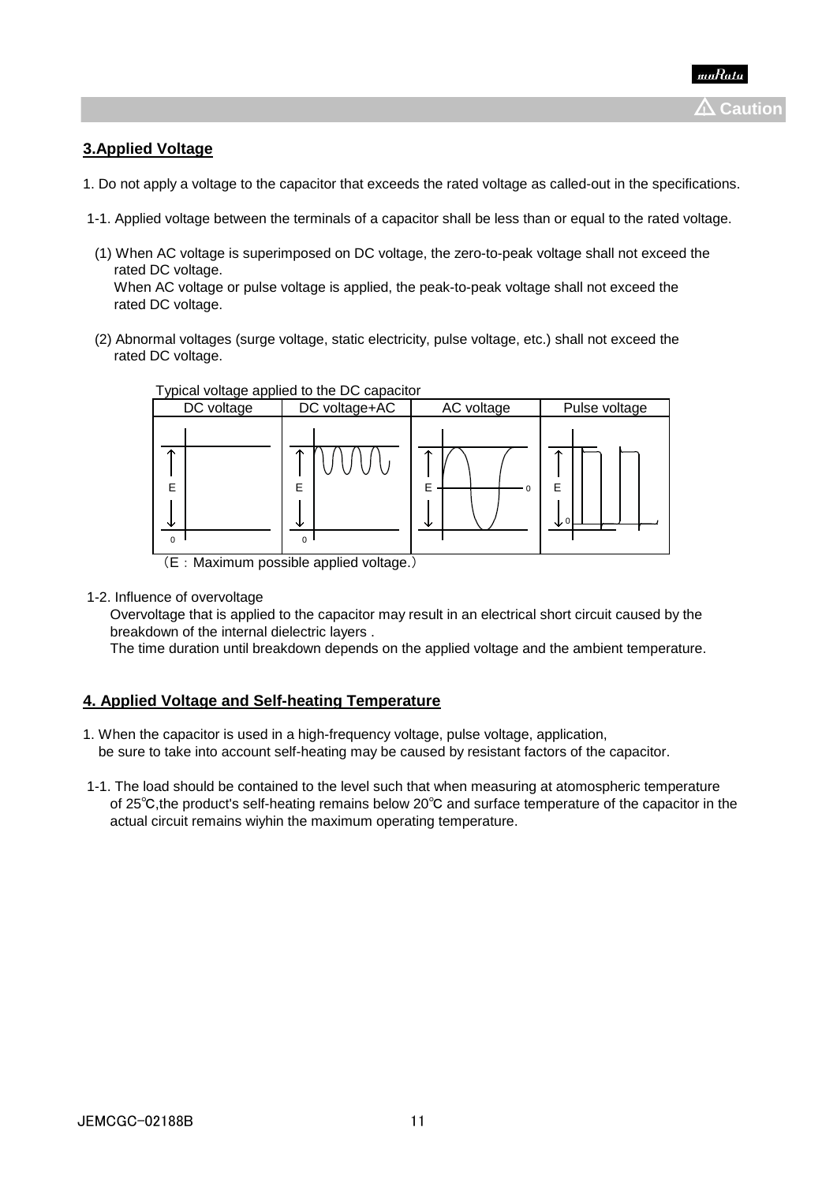### **3.Applied Voltage**

- 1. Do not apply a voltage to the capacitor that exceeds the rated voltage as called-out in the specifications.
- 1-1. Applied voltage between the terminals of a capacitor shall be less than or equal to the rated voltage.
- (1) When AC voltage is superimposed on DC voltage, the zero-to-peak voltage shall not exceed the rated DC voltage. When AC voltage or pulse voltage is applied, the peak-to-peak voltage shall not exceed the rated DC voltage.
- (2) Abnormal voltages (surge voltage, static electricity, pulse voltage, etc.) shall not exceed the rated DC voltage.



Typical voltage applied to the DC capacitor

1-2. Influence of overvoltage

 Overvoltage that is applied to the capacitor may result in an electrical short circuit caused by the breakdown of the internal dielectric layers .

The time duration until breakdown depends on the applied voltage and the ambient temperature.

### **4. Applied Voltage and Self-heating Temperature**

- 1. When the capacitor is used in a high-frequency voltage, pulse voltage, application, be sure to take into account self-heating may be caused by resistant factors of the capacitor.
- 1-1. The load should be contained to the level such that when measuring at atomospheric temperature of 25℃,the product's self-heating remains below 20℃ and surface temperature of the capacitor in the actual circuit remains wiyhin the maximum operating temperature.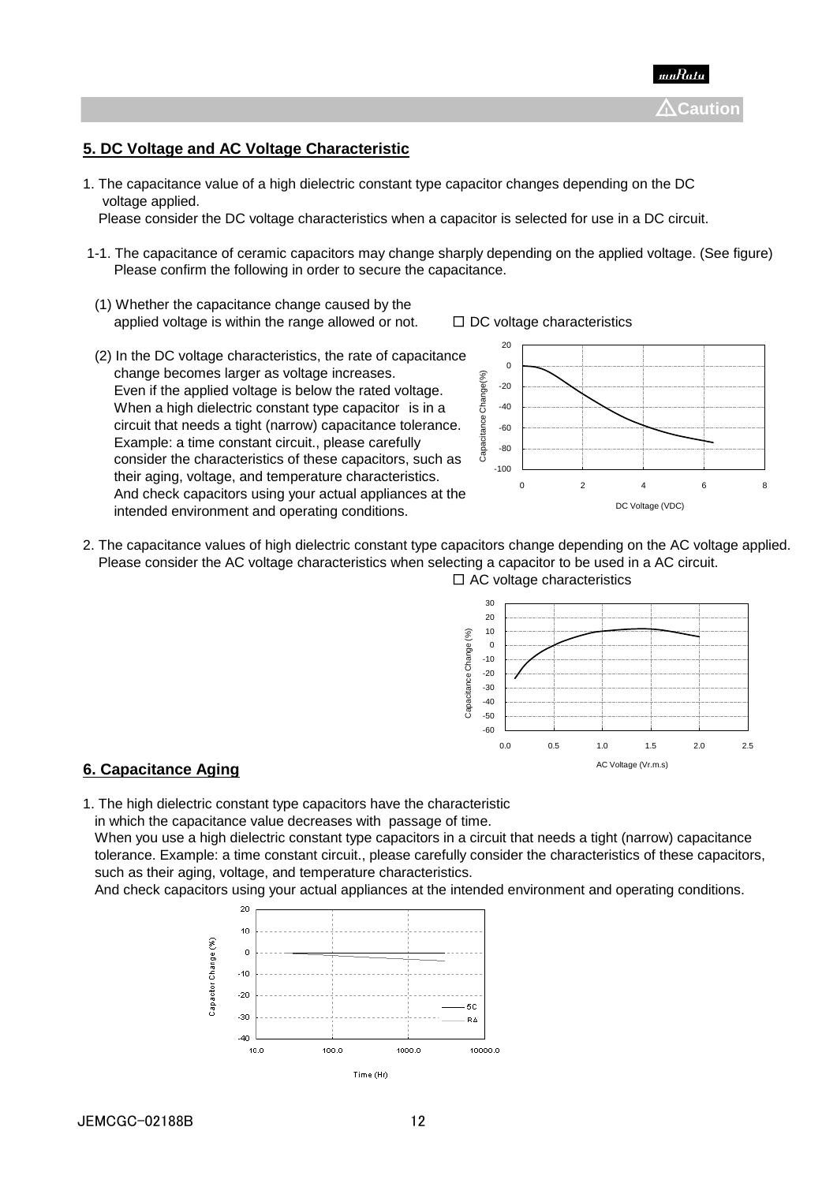

### **5. DC Voltage and AC Voltage Characteristic**

1. The capacitance value of a high dielectric constant type capacitor changes depending on the DC voltage applied.

Please consider the DC voltage characteristics when a capacitor is selected for use in a DC circuit.

- 1-1. The capacitance of ceramic capacitors may change sharply depending on the applied voltage. (See figure) Please confirm the following in order to secure the capacitance.
- (1) Whether the capacitance change caused by the applied voltage is within the range allowed or not.  $□$  DC voltage characteristics
- (2) In the DC voltage characteristics, the rate of capacitance change becomes larger as voltage increases. Even if the applied voltage is below the rated voltage. When a high dielectric constant type capacitor is in a circuit that needs a tight (narrow) capacitance tolerance. Example: a time constant circuit., please carefully consider the characteristics of these capacitors, such as their aging, voltage, and temperature characteristics. And check capacitors using your actual appliances at the intended environment and operating conditions.





2. The capacitance values of high dielectric constant type capacitors change depending on the AC voltage applied. Please consider the AC voltage characteristics when selecting a capacitor to be used in a AC circuit.  $\square$  AC voltage characteristics



#### **6. Capacitance Aging**

1. The high dielectric constant type capacitors have the characteristic

in which the capacitance value decreases with passage of time.

 When you use a high dielectric constant type capacitors in a circuit that needs a tight (narrow) capacitance tolerance. Example: a time constant circuit., please carefully consider the characteristics of these capacitors, such as their aging, voltage, and temperature characteristics.

And check capacitors using your actual appliances at the intended environment and operating conditions.

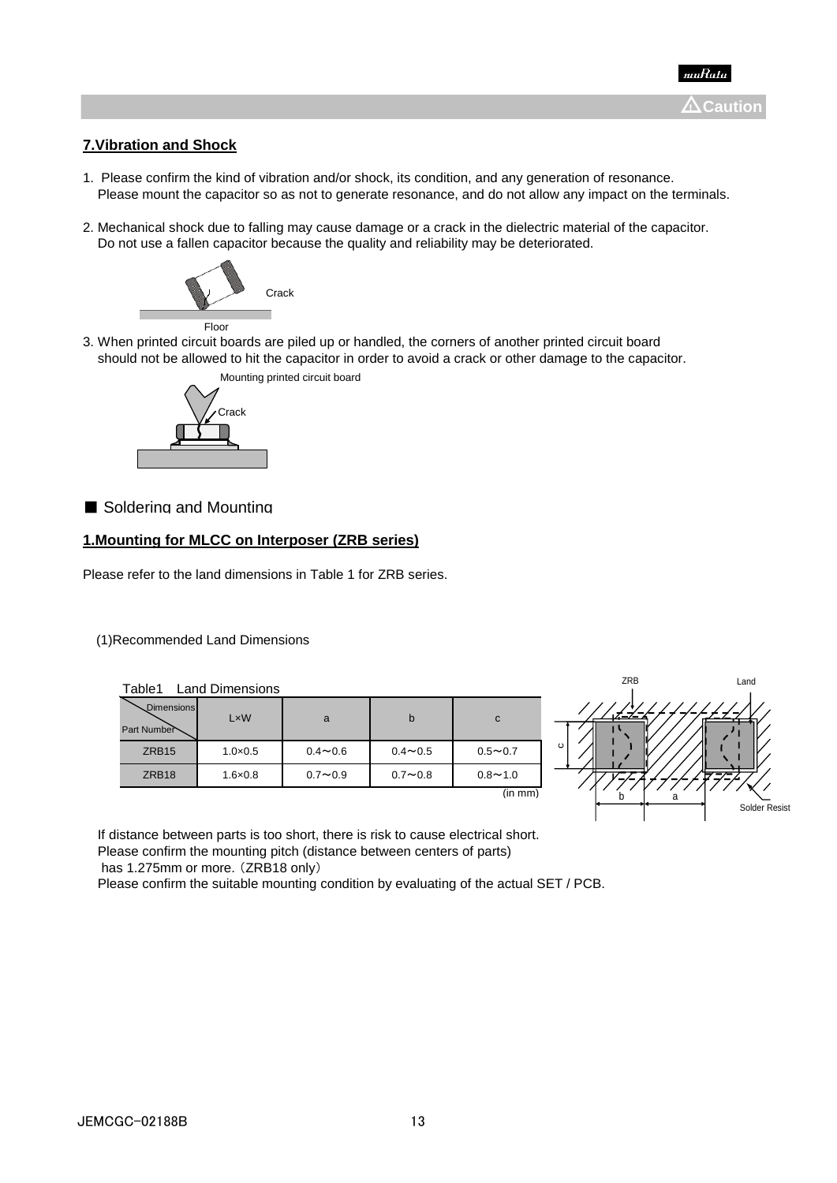

### **7.Vibration and Shock**

- 1. Please confirm the kind of vibration and/or shock, its condition, and any generation of resonance. Please mount the capacitor so as not to generate resonance, and do not allow any impact on the terminals.
- 2. Mechanical shock due to falling may cause damage or a crack in the dielectric material of the capacitor. Do not use a fallen capacitor because the quality and reliability may be deteriorated.



3. When printed circuit boards are piled up or handled, the corners of another printed circuit board should not be allowed to hit the capacitor in order to avoid a crack or other damage to the capacitor.



### ■ Soldering and Mounting

#### **1.Mounting for MLCC on Interposer (ZRB series)**

Please refer to the land dimensions in Table 1 for ZRB series.

#### (1)Recommended Land Dimensions

| Dimensions<br>Part Number | LxW              | a           | b              | C              |
|---------------------------|------------------|-------------|----------------|----------------|
| ZRB <sub>15</sub>         | $1.0 \times 0.5$ | $0.4 - 0.6$ | $0.4 \sim 0.5$ | $0.5 \sim 0.7$ |
| ZRB <sub>18</sub>         | $1.6 \times 0.8$ | $0.7 - 0.9$ | $0.7 - 0.8$    | $0.8 - 1.0$    |
|                           |                  |             |                | (in mm)        |



 If distance between parts is too short, there is risk to cause electrical short. Please confirm the mounting pitch (distance between centers of parts) has 1.275mm or more. (ZRB18 only)

Please confirm the suitable mounting condition by evaluating of the actual SET / PCB.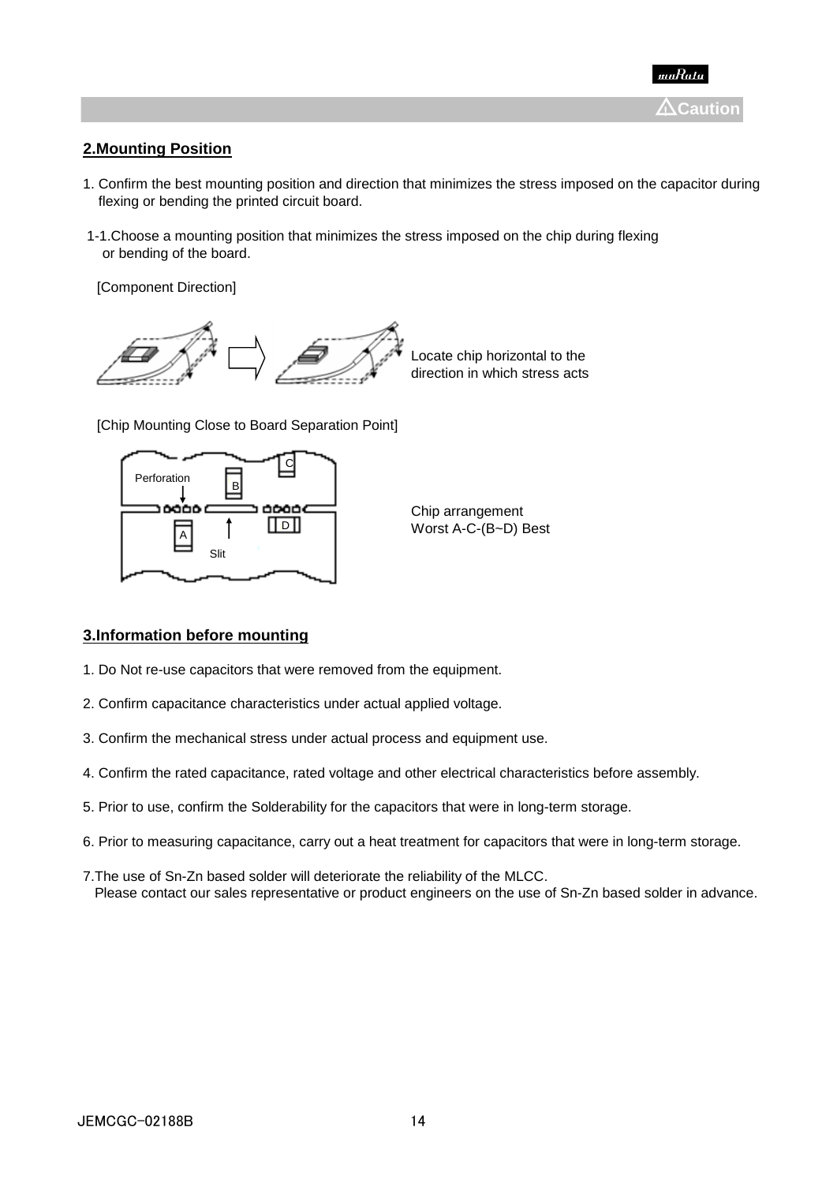### **2.Mounting Position**

- 1. Confirm the best mounting position and direction that minimizes the stress imposed on the capacitor during flexing or bending the printed circuit board.
- 1-1.Choose a mounting position that minimizes the stress imposed on the chip during flexing or bending of the board.

[Component Direction]



Locate chip horizontal to the direction in which stress acts

[Chip Mounting Close to Board Separation Point]





#### **3.Information before mounting**

- 1. Do Not re-use capacitors that were removed from the equipment.
- 2. Confirm capacitance characteristics under actual applied voltage.
- 3. Confirm the mechanical stress under actual process and equipment use.
- 4. Confirm the rated capacitance, rated voltage and other electrical characteristics before assembly.
- 5. Prior to use, confirm the Solderability for the capacitors that were in long-term storage.
- 6. Prior to measuring capacitance, carry out a heat treatment for capacitors that were in long-term storage.
- 7.The use of Sn-Zn based solder will deteriorate the reliability of the MLCC. Please contact our sales representative or product engineers on the use of Sn-Zn based solder in advance.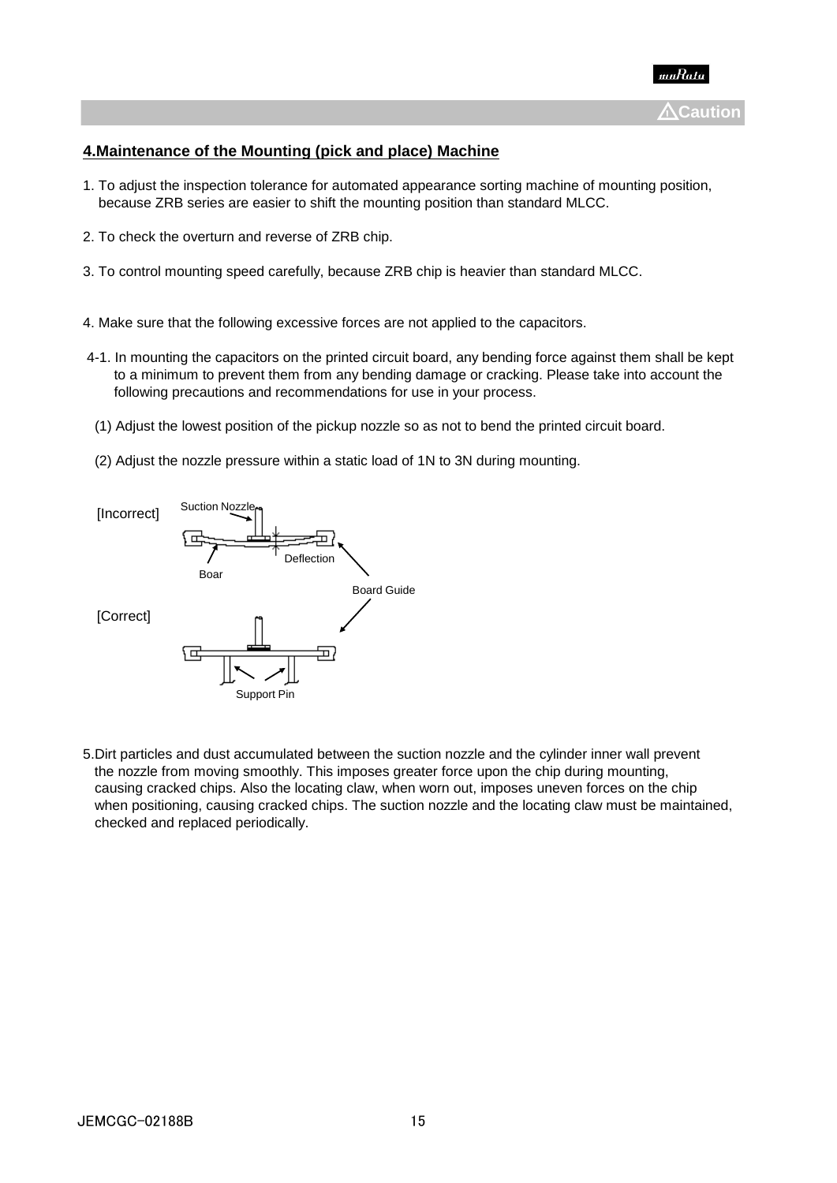

## **4.Maintenance of the Mounting (pick and place) Machine**

- 1. To adjust the inspection tolerance for automated appearance sorting machine of mounting position, because ZRB series are easier to shift the mounting position than standard MLCC.
- 2. To check the overturn and reverse of ZRB chip.
- 3. To control mounting speed carefully, because ZRB chip is heavier than standard MLCC.
- 4. Make sure that the following excessive forces are not applied to the capacitors.
- 4-1. In mounting the capacitors on the printed circuit board, any bending force against them shall be kept to a minimum to prevent them from any bending damage or cracking. Please take into account the following precautions and recommendations for use in your process.
- (1) Adjust the lowest position of the pickup nozzle so as not to bend the printed circuit board.
- (2) Adjust the nozzle pressure within a static load of 1N to 3N during mounting.



5.Dirt particles and dust accumulated between the suction nozzle and the cylinder inner wall prevent the nozzle from moving smoothly. This imposes greater force upon the chip during mounting, causing cracked chips. Also the locating claw, when worn out, imposes uneven forces on the chip when positioning, causing cracked chips. The suction nozzle and the locating claw must be maintained, checked and replaced periodically.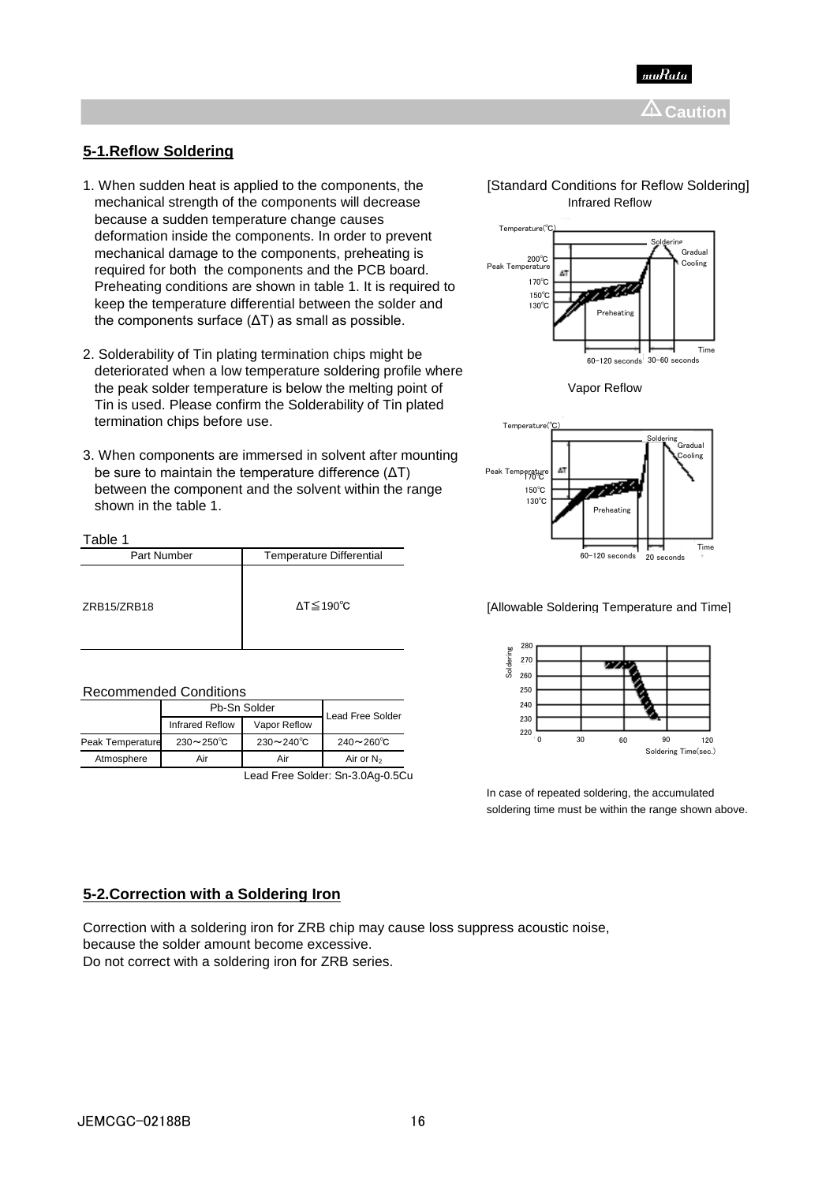

### **5-1.Reflow Soldering**

Table 1

Recommended Conditions

- 1. When sudden heat is applied to the components, the **[Standard Conditions for Reflow Soldering**] mechanical strength of the components will decrease because a sudden temperature change causes deformation inside the components. In order to prevent mechanical damage to the components, preheating is required for both the components and the PCB board. Preheating conditions are shown in table 1. It is required to keep the temperature differential between the solder and the components surface (ΔT) as small as possible.
- 2. Solderability of Tin plating termination chips might be deteriorated when a low temperature soldering profile where the peak solder temperature is below the melting point of Vapor Reflow Tin is used. Please confirm the Solderability of Tin plated termination chips before use.
- 3. When components are immersed in solvent after mounting, be sure to maintain the temperature difference (ΔT) between the component and the solvent within the range shown in the table 1.

Part Number Temperature Differential

|                 | Infrared Reflow         |  |
|-----------------|-------------------------|--|
| Temperature(°C) | <b>STATE</b>            |  |
|                 | Soldering<br>ا د باد ده |  |





ZRB15/ZRB18 **and Allowable Soldering Temperature and Time**] **Allowable Soldering Temperature and Time**]



In case of repeated soldering, the accumulated soldering time must be within the range shown above.

Infrared Reflow Vapor Reflow Peak Temperature 230~250℃ 230~240℃ 240~260℃ Atmosphere Air Air Air Air Changes

Pb-Sn Solder

## **5-2.Correction with a Soldering Iron**

Correction with a soldering iron for ZRB chip may cause loss suppress acoustic noise, because the solder amount become excessive. Do not correct with a soldering iron for ZRB series.

Lead Free Solder: Sn-3.0Ag-0.5Cu

Lead Free Solder

ΔT≦190℃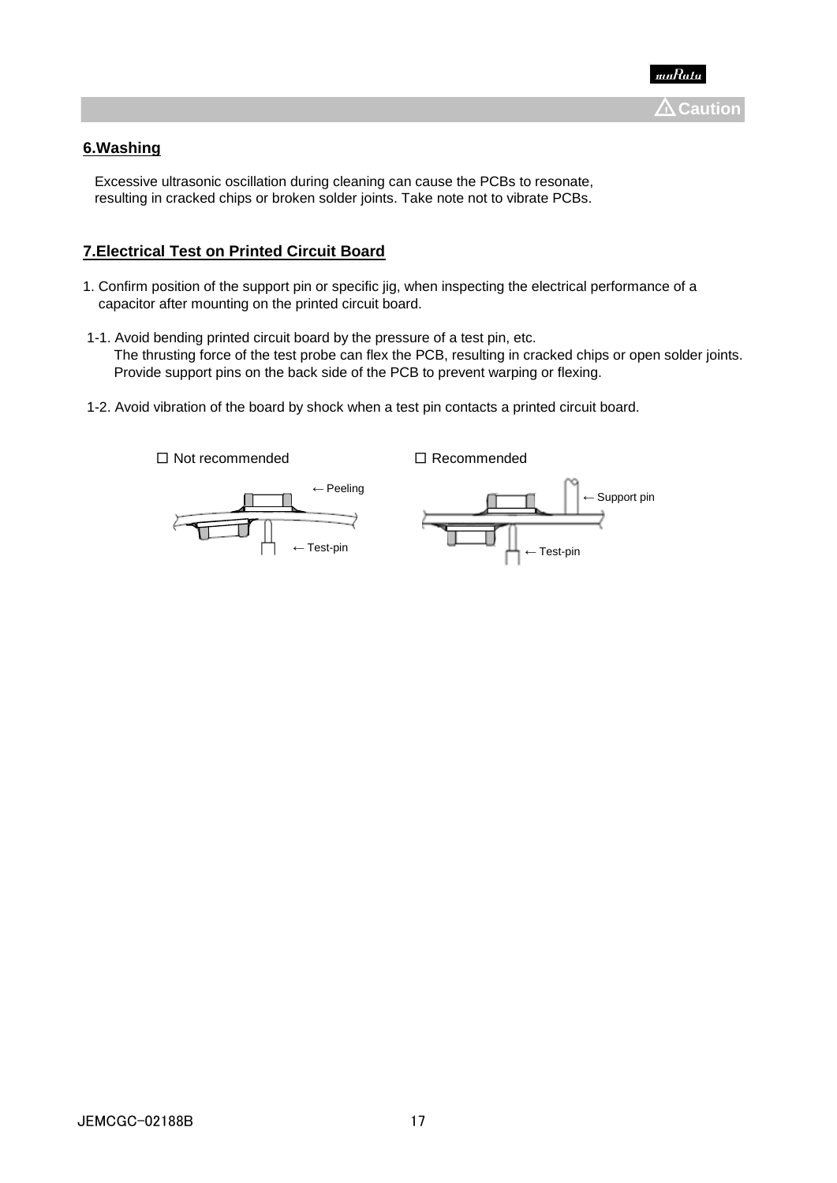

# **6.Washing**

 Excessive ultrasonic oscillation during cleaning can cause the PCBs to resonate, resulting in cracked chips or broken solder joints. Take note not to vibrate PCBs.

## **7.Electrical Test on Printed Circuit Board**

- 1. Confirm position of the support pin or specific jig, when inspecting the electrical performance of a capacitor after mounting on the printed circuit board.
- 1-1. Avoid bending printed circuit board by the pressure of a test pin, etc. The thrusting force of the test probe can flex the PCB, resulting in cracked chips or open solder joints. Provide support pins on the back side of the PCB to prevent warping or flexing.
- 1-2. Avoid vibration of the board by shock when a test pin contacts a printed circuit board.

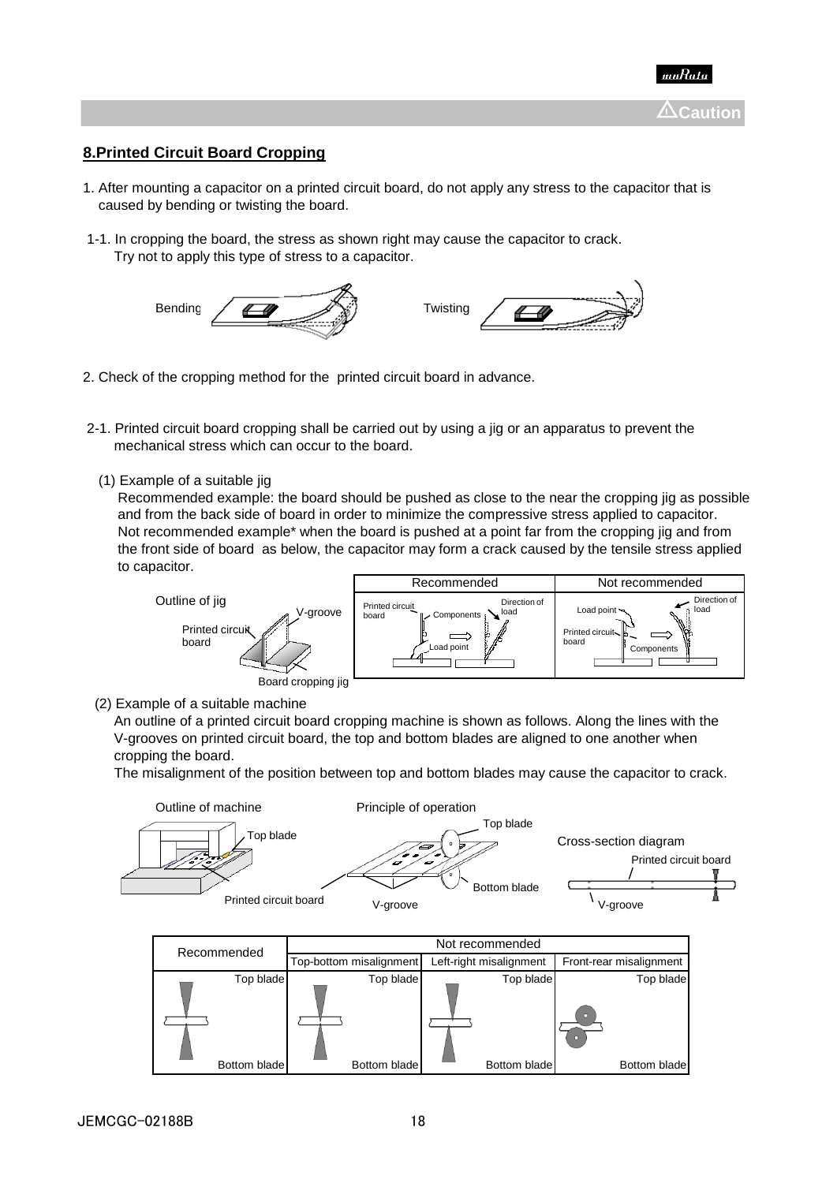

## **8.Printed Circuit Board Cropping**

- 1. After mounting a capacitor on a printed circuit board, do not apply any stress to the capacitor that is caused by bending or twisting the board.
- 1-1. In cropping the board, the stress as shown right may cause the capacitor to crack. Try not to apply this type of stress to a capacitor.



- 2. Check of the cropping method for the printed circuit board in advance.
- 2-1. Printed circuit board cropping shall be carried out by using a jig or an apparatus to prevent the mechanical stress which can occur to the board.
	- (1) Example of a suitable jig

 Recommended example: the board should be pushed as close to the near the cropping jig as possible and from the back side of board in order to minimize the compressive stress applied to capacitor. Not recommended example<sup>\*</sup> when the board is pushed at a point far from the cropping ijg and from the front side of board as below, the capacitor may form a crack caused by the tensile stress applied to capacitor.



(2) Example of a suitable machine

 An outline of a printed circuit board cropping machine is shown as follows. Along the lines with the V-grooves on printed circuit board, the top and bottom blades are aligned to one another when cropping the board.

The misalignment of the position between top and bottom blades may cause the capacitor to crack.



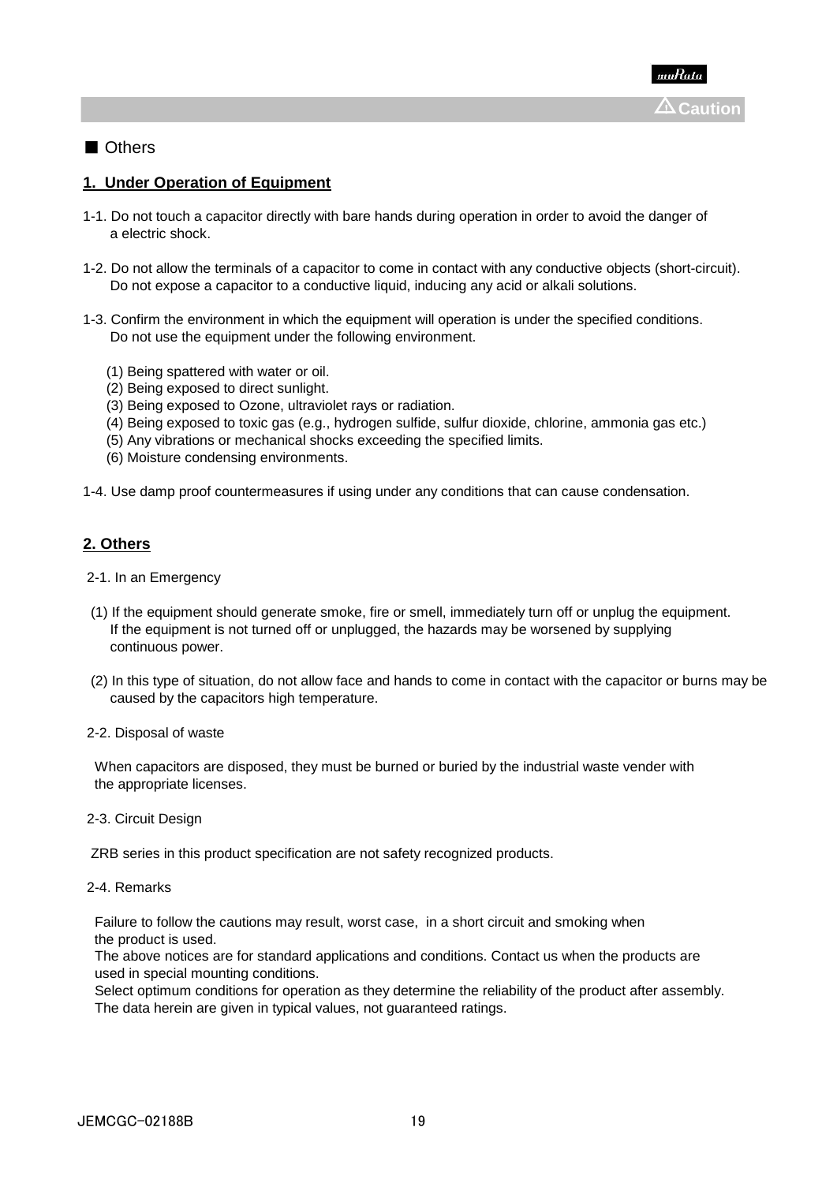## ■ Others

## **1. Under Operation of Equipment**

- 1-1. Do not touch a capacitor directly with bare hands during operation in order to avoid the danger of a electric shock.
- 1-2. Do not allow the terminals of a capacitor to come in contact with any conductive objects (short-circuit). Do not expose a capacitor to a conductive liquid, inducing any acid or alkali solutions.
- 1-3. Confirm the environment in which the equipment will operation is under the specified conditions. Do not use the equipment under the following environment.
	- (1) Being spattered with water or oil.
	- (2) Being exposed to direct sunlight.
	- (3) Being exposed to Ozone, ultraviolet rays or radiation.
	- (4) Being exposed to toxic gas (e.g., hydrogen sulfide, sulfur dioxide, chlorine, ammonia gas etc.)
	- (5) Any vibrations or mechanical shocks exceeding the specified limits.
	- (6) Moisture condensing environments.

1-4. Use damp proof countermeasures if using under any conditions that can cause condensation.

### **2. Others**

- 2-1. In an Emergency
- (1) If the equipment should generate smoke, fire or smell, immediately turn off or unplug the equipment. If the equipment is not turned off or unplugged, the hazards may be worsened by supplying continuous power.
- (2) In this type of situation, do not allow face and hands to come in contact with the capacitor or burns may be caused by the capacitors high temperature.

2-2. Disposal of waste

 When capacitors are disposed, they must be burned or buried by the industrial waste vender with the appropriate licenses.

2-3. Circuit Design

ZRB series in this product specification are not safety recognized products.

2-4. Remarks

 Failure to follow the cautions may result, worst case, in a short circuit and smoking when the product is used.

 The above notices are for standard applications and conditions. Contact us when the products are used in special mounting conditions.

 Select optimum conditions for operation as they determine the reliability of the product after assembly. The data herein are given in typical values, not guaranteed ratings.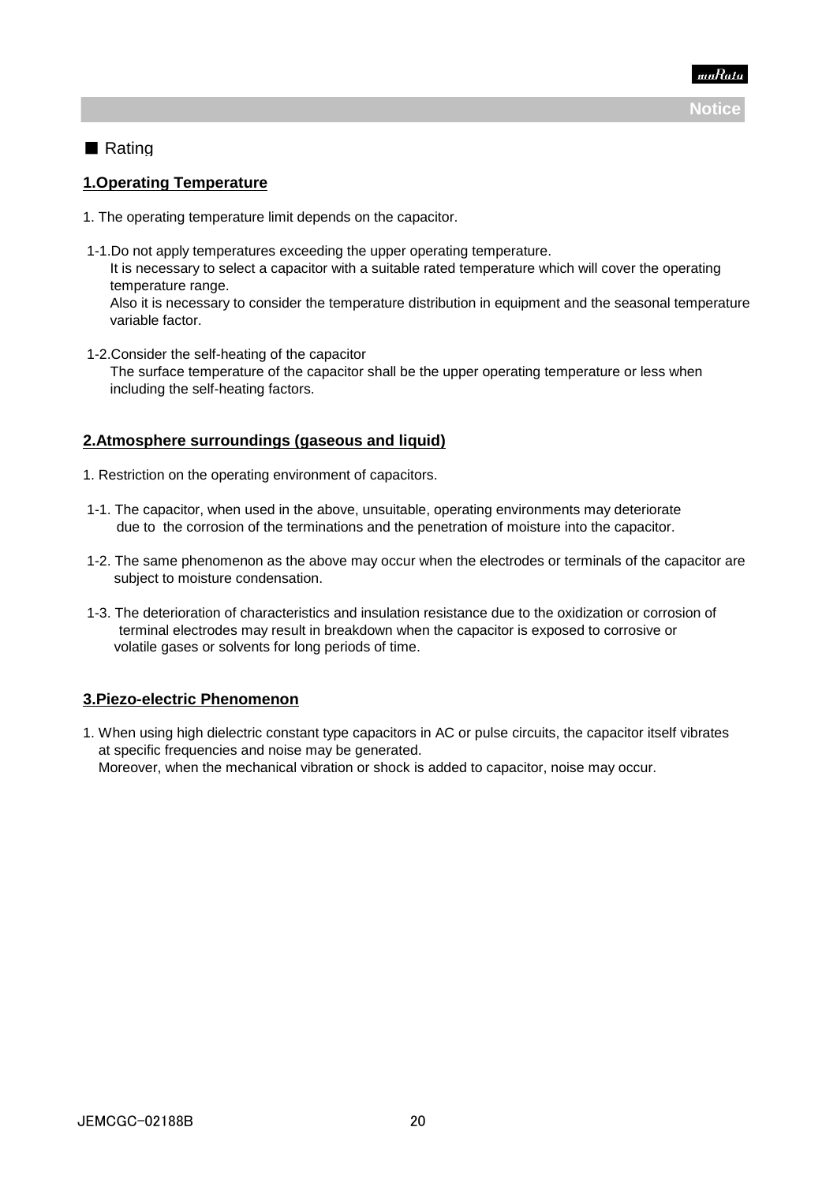

# ■ Rating

### **1.Operating Temperature**

- 1. The operating temperature limit depends on the capacitor.
- 1-1.Do not apply temperatures exceeding the upper operating temperature. It is necessary to select a capacitor with a suitable rated temperature which will cover the operating temperature range. Also it is necessary to consider the temperature distribution in equipment and the seasonal temperature variable factor.
- 1-2.Consider the self-heating of the capacitor The surface temperature of the capacitor shall be the upper operating temperature or less when including the self-heating factors.

# **2.Atmosphere surroundings (gaseous and liquid)**

- 1. Restriction on the operating environment of capacitors.
- 1-1. The capacitor, when used in the above, unsuitable, operating environments may deteriorate due to the corrosion of the terminations and the penetration of moisture into the capacitor.
- 1-2. The same phenomenon as the above may occur when the electrodes or terminals of the capacitor are subject to moisture condensation.
- 1-3. The deterioration of characteristics and insulation resistance due to the oxidization or corrosion of terminal electrodes may result in breakdown when the capacitor is exposed to corrosive or volatile gases or solvents for long periods of time.

### **3.Piezo-electric Phenomenon**

1. When using high dielectric constant type capacitors in AC or pulse circuits, the capacitor itself vibrates at specific frequencies and noise may be generated. Moreover, when the mechanical vibration or shock is added to capacitor, noise may occur.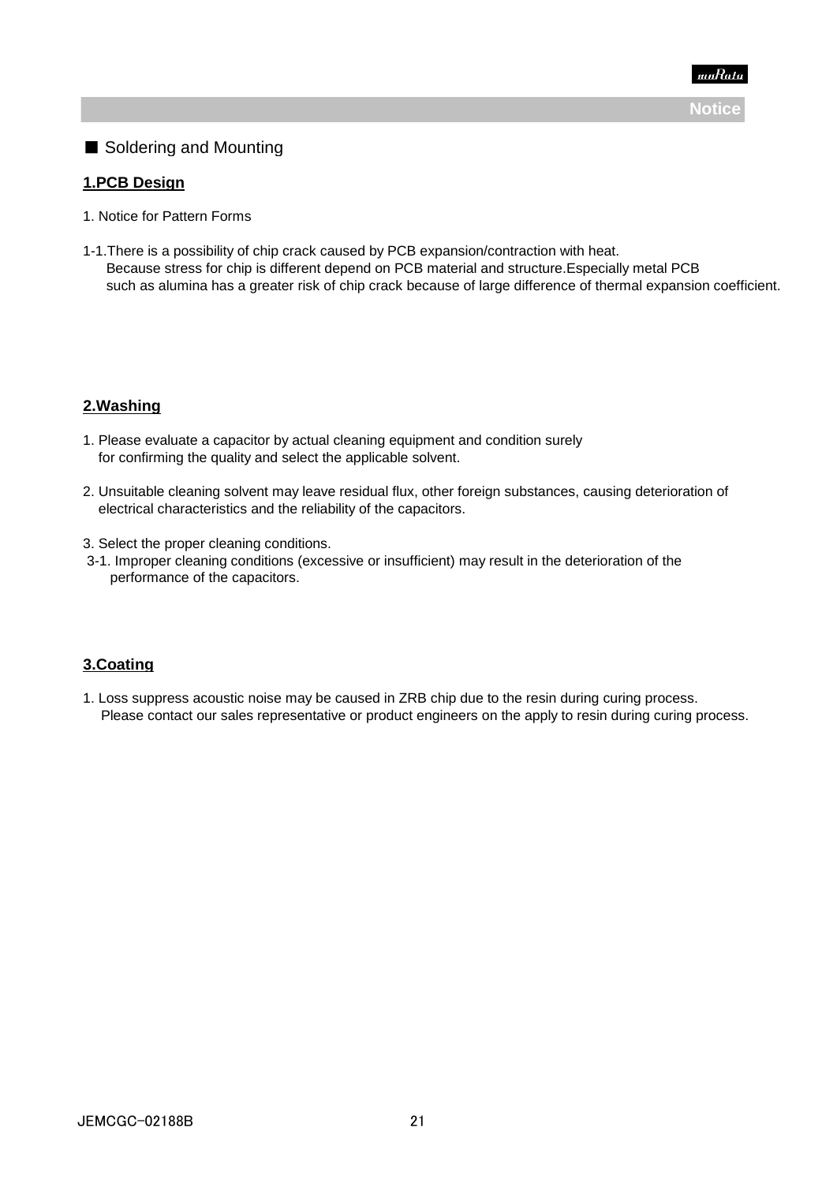

# ■ Soldering and Mounting

### **1.PCB Design**

- 1. Notice for Pattern Forms
- 1-1.There is a possibility of chip crack caused by PCB expansion/contraction with heat. Because stress for chip is different depend on PCB material and structure.Especially metal PCB such as alumina has a greater risk of chip crack because of large difference of thermal expansion coefficient.

### **2.Washing**

- 1. Please evaluate a capacitor by actual cleaning equipment and condition surely for confirming the quality and select the applicable solvent.
- 2. Unsuitable cleaning solvent may leave residual flux, other foreign substances, causing deterioration of electrical characteristics and the reliability of the capacitors.
- 3. Select the proper cleaning conditions.
- 3-1. Improper cleaning conditions (excessive or insufficient) may result in the deterioration of the performance of the capacitors.

### **3.Coating**

1. Loss suppress acoustic noise may be caused in ZRB chip due to the resin during curing process. Please contact our sales representative or product engineers on the apply to resin during curing process.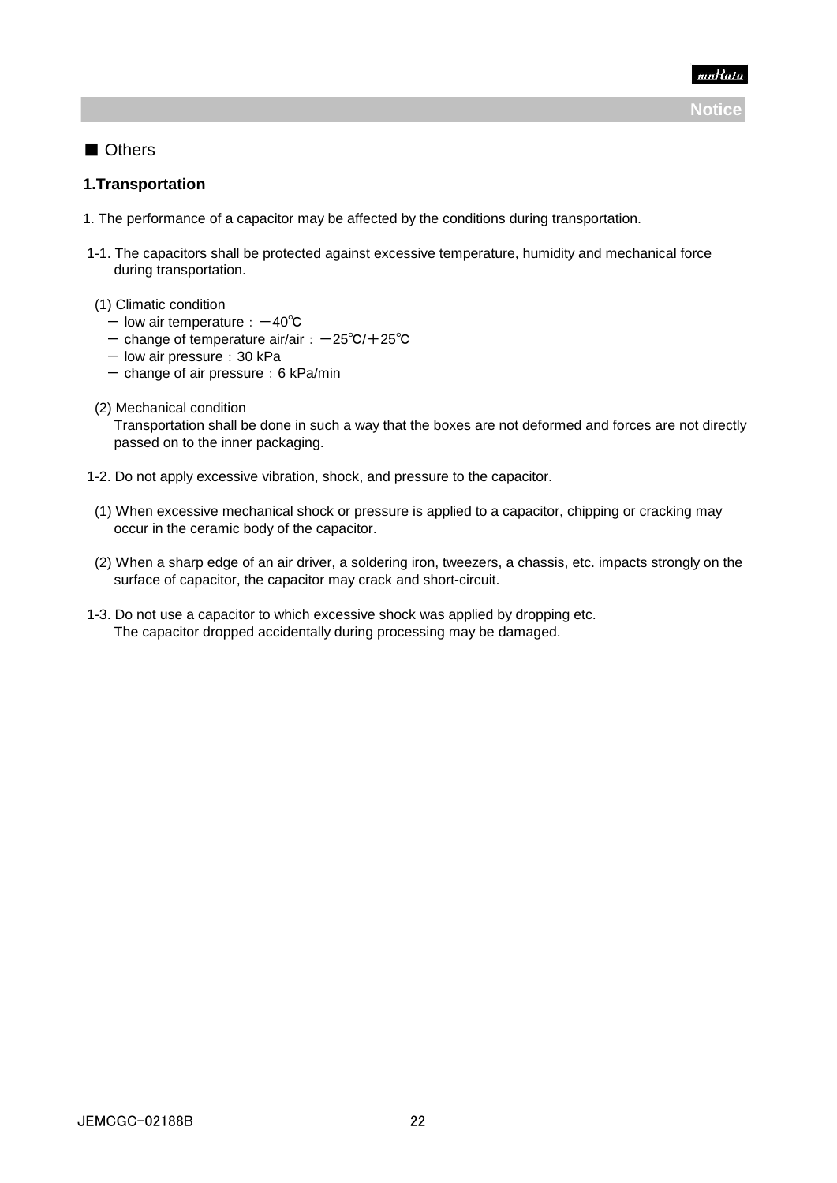# ■ Others

### **1.Transportation**

- 1. The performance of a capacitor may be affected by the conditions during transportation.
- 1-1. The capacitors shall be protected against excessive temperature, humidity and mechanical force during transportation.
- (1) Climatic condition
	- low air temperature: -40℃
	- change of temperature air/air: -25℃/+25℃
	- low air pressure: 30 kPa
	- $-$  change of air pressure: 6 kPa/min
- (2) Mechanical condition

 Transportation shall be done in such a way that the boxes are not deformed and forces are not directly passed on to the inner packaging.

- 1-2. Do not apply excessive vibration, shock, and pressure to the capacitor.
- (1) When excessive mechanical shock or pressure is applied to a capacitor, chipping or cracking may occur in the ceramic body of the capacitor.
- (2) When a sharp edge of an air driver, a soldering iron, tweezers, a chassis, etc. impacts strongly on the surface of capacitor, the capacitor may crack and short-circuit.
- 1-3. Do not use a capacitor to which excessive shock was applied by dropping etc. The capacitor dropped accidentally during processing may be damaged.